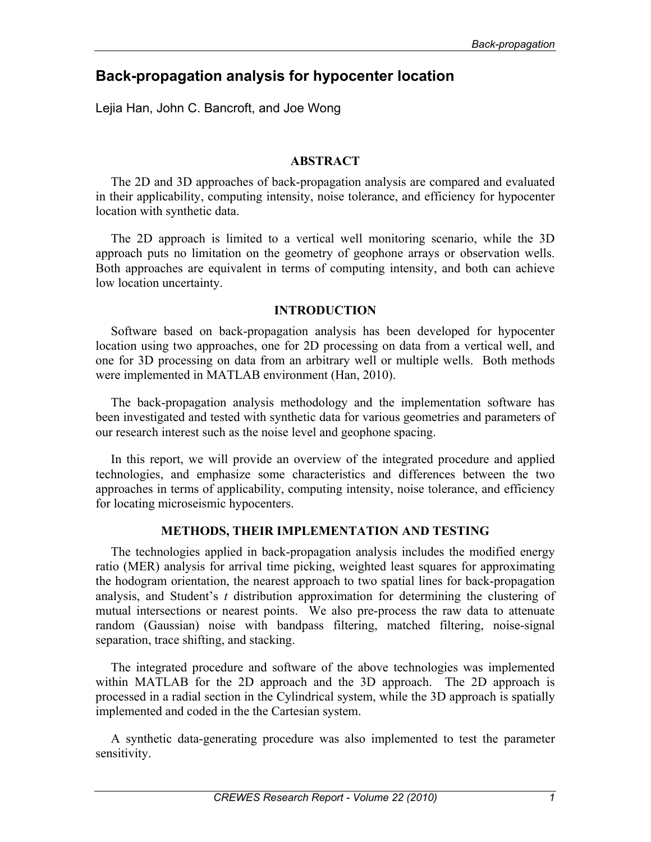# **Back-propagation analysis for hypocenter location**

Lejia Han, John C. Bancroft, and Joe Wong

# **ABSTRACT**

The 2D and 3D approaches of back-propagation analysis are compared and evaluated in their applicability, computing intensity, noise tolerance, and efficiency for hypocenter location with synthetic data.

The 2D approach is limited to a vertical well monitoring scenario, while the 3D approach puts no limitation on the geometry of geophone arrays or observation wells. Both approaches are equivalent in terms of computing intensity, and both can achieve low location uncertainty.

# **INTRODUCTION**

Software based on back-propagation analysis has been developed for hypocenter location using two approaches, one for 2D processing on data from a vertical well, and one for 3D processing on data from an arbitrary well or multiple wells. Both methods were implemented in MATLAB environment (Han, 2010).

The back-propagation analysis methodology and the implementation software has been investigated and tested with synthetic data for various geometries and parameters of our research interest such as the noise level and geophone spacing.

In this report, we will provide an overview of the integrated procedure and applied technologies, and emphasize some characteristics and differences between the two approaches in terms of applicability, computing intensity, noise tolerance, and efficiency for locating microseismic hypocenters.

# **METHODS, THEIR IMPLEMENTATION AND TESTING**

The technologies applied in back-propagation analysis includes the modified energy ratio (MER) analysis for arrival time picking, weighted least squares for approximating the hodogram orientation, the nearest approach to two spatial lines for back-propagation analysis, and Student's *t* distribution approximation for determining the clustering of mutual intersections or nearest points. We also pre-process the raw data to attenuate random (Gaussian) noise with bandpass filtering, matched filtering, noise-signal separation, trace shifting, and stacking.

The integrated procedure and software of the above technologies was implemented within MATLAB for the 2D approach and the 3D approach. The 2D approach is processed in a radial section in the Cylindrical system, while the 3D approach is spatially implemented and coded in the the Cartesian system.

A synthetic data-generating procedure was also implemented to test the parameter sensitivity.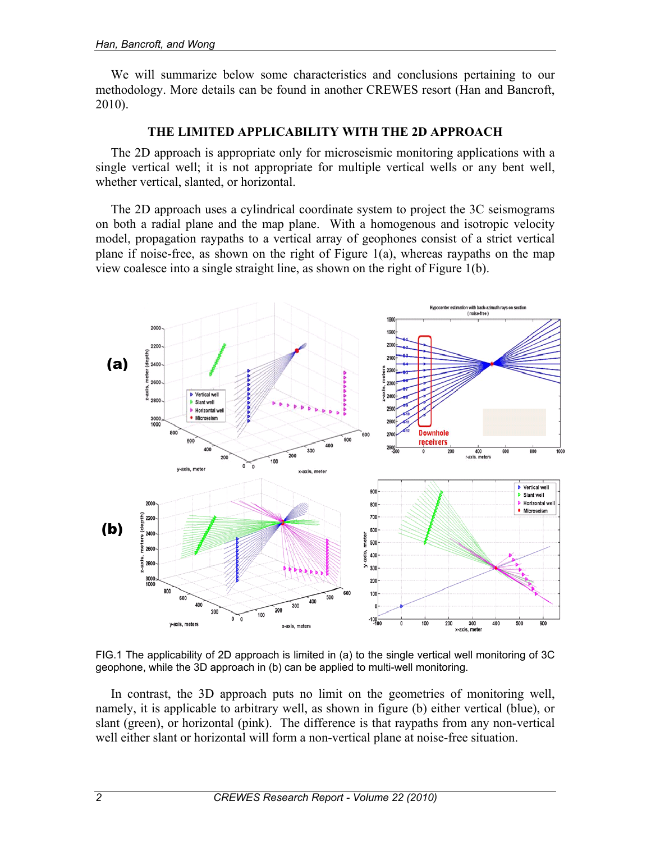We will summarize below some characteristics and conclusions pertaining to our methodology. More details can be found in another CREWES resort (Han and Bancroft, 2010).

# **THE LIMITED APPLICABILITY WITH THE 2D APPROACH**

The 2D approach is appropriate only for microseismic monitoring applications with a single vertical well; it is not appropriate for multiple vertical wells or any bent well, whether vertical, slanted, or horizontal.

The 2D approach uses a cylindrical coordinate system to project the 3C seismograms on both a radial plane and the map plane. With a homogenous and isotropic velocity model, propagation raypaths to a vertical array of geophones consist of a strict vertical plane if noise-free, as shown on the right of Figure  $1(a)$ , whereas raypaths on the map view coalesce into a single straight line, as shown on the right of Figure 1(b).



FIG.1 The applicability of 2D approach is limited in (a) to the single vertical well monitoring of 3C geophone, while the 3D approach in (b) can be applied to multi-well monitoring.

In contrast, the 3D approach puts no limit on the geometries of monitoring well, namely, it is applicable to arbitrary well, as shown in figure (b) either vertical (blue), or slant (green), or horizontal (pink). The difference is that raypaths from any non-vertical well either slant or horizontal will form a non-vertical plane at noise-free situation.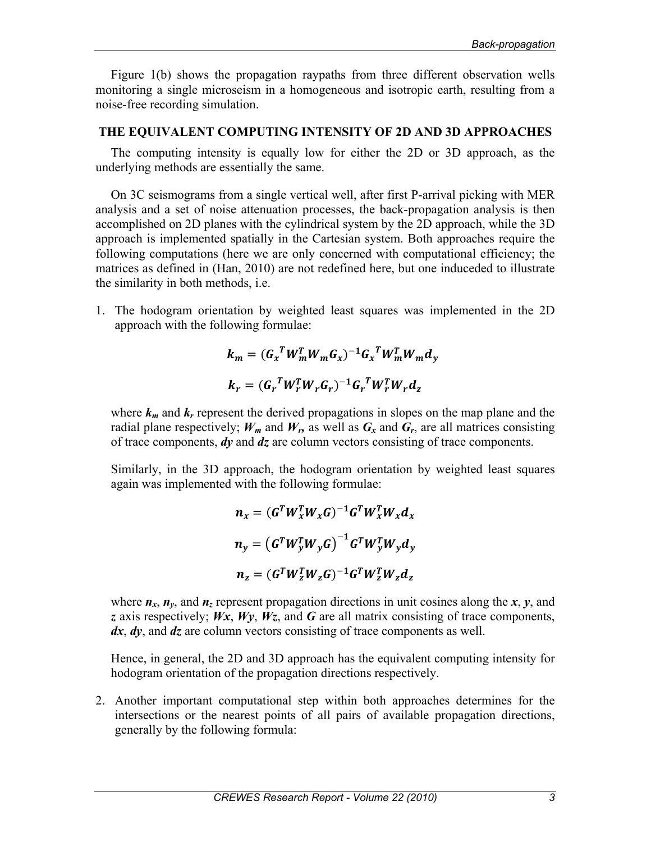Figure 1(b) shows the propagation raypaths from three different observation wells monitoring a single microseism in a homogeneous and isotropic earth, resulting from a noise-free recording simulation.

# **THE EQUIVALENT COMPUTING INTENSITY OF 2D AND 3D APPROACHES**

The computing intensity is equally low for either the 2D or 3D approach, as the underlying methods are essentially the same.

On 3C seismograms from a single vertical well, after first P-arrival picking with MER analysis and a set of noise attenuation processes, the back-propagation analysis is then accomplished on 2D planes with the cylindrical system by the 2D approach, while the 3D approach is implemented spatially in the Cartesian system. Both approaches require the following computations (here we are only concerned with computational efficiency; the matrices as defined in (Han, 2010) are not redefined here, but one induceded to illustrate the similarity in both methods, i.e.

1. The hodogram orientation by weighted least squares was implemented in the 2D approach with the following formulae:

$$
k_m = (G_x^T W_m^T W_m G_x)^{-1} G_x^T W_m^T W_m d_y
$$
  

$$
k_r = (G_r^T W_r^T W_r G_r)^{-1} G_r^T W_r^T W_r d_z
$$

where  $k_m$  and  $k_r$  represent the derived propagations in slopes on the map plane and the radial plane respectively;  $W_m$  and  $W_r$ , as well as  $G_x$  and  $G_r$ , are all matrices consisting of trace components, *dy* and *dz* are column vectors consisting of trace components.

Similarly, in the 3D approach, the hodogram orientation by weighted least squares again was implemented with the following formulae:

$$
n_x = (G^T W_x^T W_x G)^{-1} G^T W_x^T W_x d_x
$$
  

$$
n_y = (G^T W_y^T W_y G)^{-1} G^T W_y^T W_y d_y
$$
  

$$
n_z = (G^T W_z^T W_z G)^{-1} G^T W_z^T W_z d_z
$$

where  $n_x$ ,  $n_y$ , and  $n_z$  represent propagation directions in unit cosines along the *x*, *y*, and *z* axis respectively; *Wx*, *Wy*, *Wz*, and *G* are all matrix consisting of trace components, *dx*, *dy*, and *dz* are column vectors consisting of trace components as well.

Hence, in general, the 2D and 3D approach has the equivalent computing intensity for hodogram orientation of the propagation directions respectively.

2. Another important computational step within both approaches determines for the intersections or the nearest points of all pairs of available propagation directions, generally by the following formula: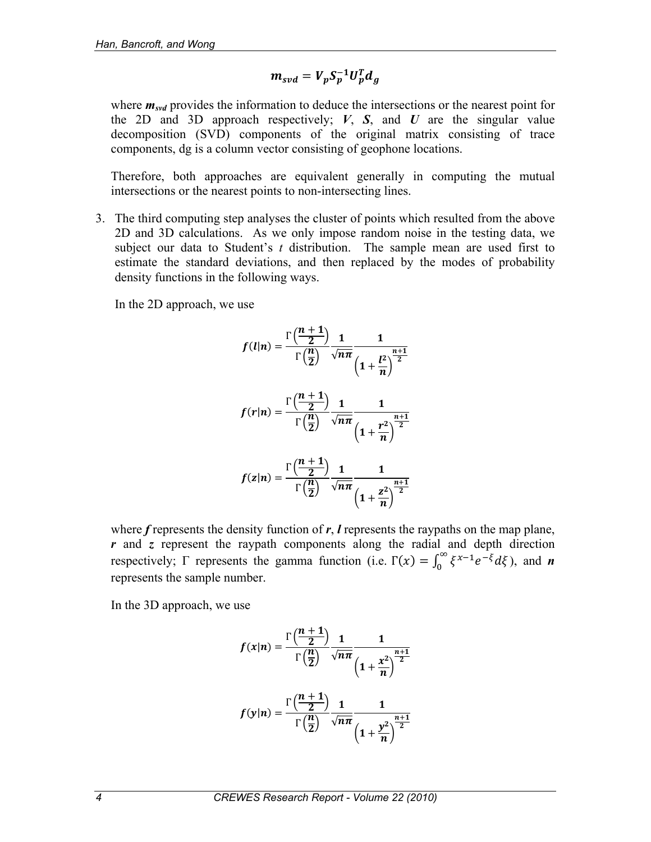$$
m_{svd} = V_p S_p^{-1} U_p^T d_g
$$

where  $m_{svd}$  provides the information to deduce the intersections or the nearest point for the 2D and 3D approach respectively;  $V$ ,  $S$ , and  $U$  are the singular value decomposition (SVD) components of the original matrix consisting of trace components, dg is a column vector consisting of geophone locations.

Therefore, both approaches are equivalent generally in computing the mutual intersections or the nearest points to non-intersecting lines.

3. The third computing step analyses the cluster of points which resulted from the above 2D and 3D calculations. As we only impose random noise in the testing data, we subject our data to Student's *t* distribution. The sample mean are used first to estimate the standard deviations, and then replaced by the modes of probability density functions in the following ways.

In the 2D approach, we use

$$
f(l|n) = \frac{\Gamma\left(\frac{n+1}{2}\right)}{\Gamma\left(\frac{n}{2}\right)} \frac{1}{\sqrt{n\pi}} \frac{1}{\left(1 + \frac{l^2}{n}\right)^{\frac{n+1}{2}}}
$$

$$
f(r|n) = \frac{\Gamma\left(\frac{n+1}{2}\right)}{\Gamma\left(\frac{n}{2}\right)} \frac{1}{\sqrt{n\pi}} \frac{1}{\left(1 + \frac{r^2}{n}\right)^{\frac{n+1}{2}}}
$$

$$
f(z|n) = \frac{\Gamma\left(\frac{n+1}{2}\right)}{\Gamma\left(\frac{n}{2}\right)} \frac{1}{\sqrt{n\pi}} \frac{1}{\left(1 + \frac{z^2}{n}\right)^{\frac{n+1}{2}}}
$$

where *f* represents the density function of *r*, *l* represents the raypaths on the map plane, *r* and *z* represent the raypath components along the radial and depth direction respectively;  $\Gamma$  represents the gamma function (i.e.  $\Gamma(x) = \int_0^\infty \xi^{x-1} e^{-\xi} d\xi$ ), and *n* represents the sample number.

In the 3D approach, we use

$$
f(x|n) = \frac{\Gamma\left(\frac{n+1}{2}\right)}{\Gamma\left(\frac{n}{2}\right)} \frac{1}{\sqrt{n\pi}} \frac{1}{\left(1 + \frac{x^2}{n}\right)^{\frac{n+1}{2}}}
$$

$$
f(y|n) = \frac{\Gamma\left(\frac{n+1}{2}\right)}{\Gamma\left(\frac{n}{2}\right)} \frac{1}{\sqrt{n\pi}} \frac{1}{\left(1 + \frac{y^2}{n}\right)^{\frac{n+1}{2}}}
$$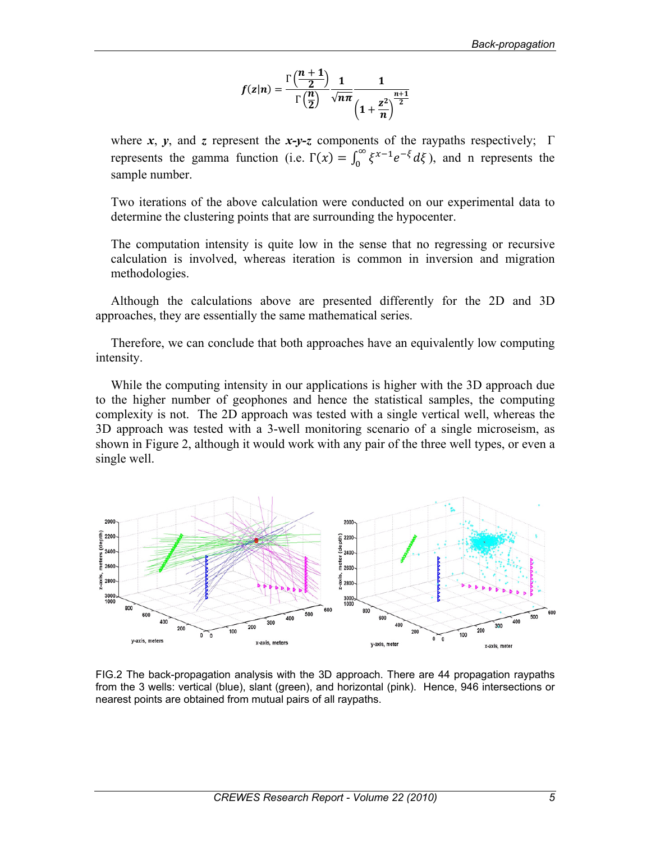$$
f(z|n) = \frac{\Gamma\left(\frac{n+1}{2}\right)}{\Gamma\left(\frac{n}{2}\right)} \frac{1}{\sqrt{n\pi}} \frac{1}{\left(1 + \frac{z^2}{n}\right)^{\frac{n+1}{2}}}
$$

where  $x$ ,  $y$ , and  $z$  represent the  $x-y-z$  components of the raypaths respectively;  $\Gamma$ represents the gamma function (i.e.  $\Gamma(x) = \int_0^\infty \xi^{x-1} e^{-\xi} d\xi$ ), and n represents the sample number.

Two iterations of the above calculation were conducted on our experimental data to determine the clustering points that are surrounding the hypocenter.

The computation intensity is quite low in the sense that no regressing or recursive calculation is involved, whereas iteration is common in inversion and migration methodologies.

Although the calculations above are presented differently for the 2D and 3D approaches, they are essentially the same mathematical series.

Therefore, we can conclude that both approaches have an equivalently low computing intensity.

While the computing intensity in our applications is higher with the 3D approach due to the higher number of geophones and hence the statistical samples, the computing complexity is not. The 2D approach was tested with a single vertical well, whereas the 3D approach was tested with a 3-well monitoring scenario of a single microseism, as shown in Figure 2, although it would work with any pair of the three well types, or even a single well.



FIG.2 The back-propagation analysis with the 3D approach. There are 44 propagation raypaths from the 3 wells: vertical (blue), slant (green), and horizontal (pink). Hence, 946 intersections or nearest points are obtained from mutual pairs of all raypaths.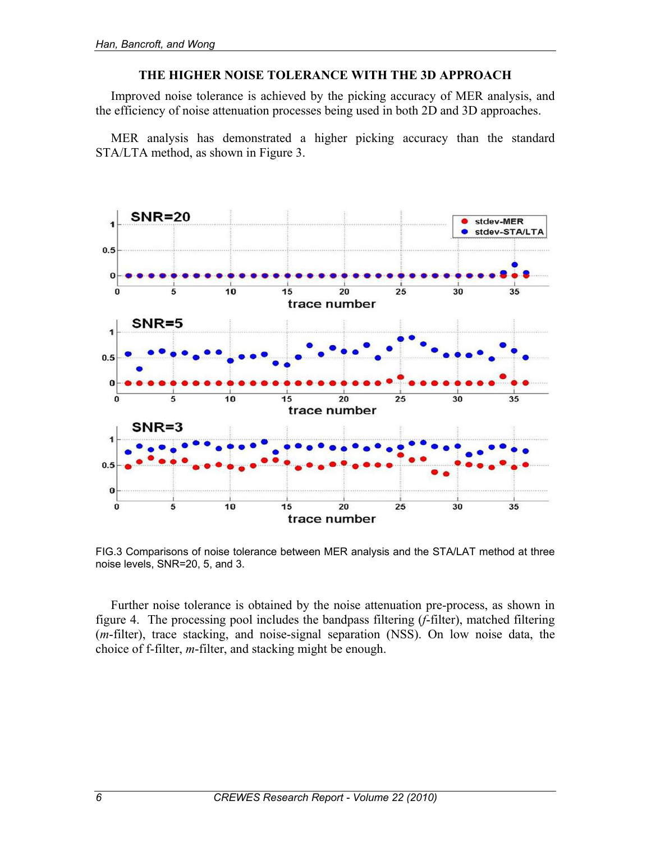## **THE HIGHER NOISE TOLERANCE WITH THE 3D APPROACH**

Improved noise tolerance is achieved by the picking accuracy of MER analysis, and the efficiency of noise attenuation processes being used in both 2D and 3D approaches.

MER analysis has demonstrated a higher picking accuracy than the standard STA/LTA method, as shown in Figure 3.



FIG.3 Comparisons of noise tolerance between MER analysis and the STA/LAT method at three noise levels, SNR=20, 5, and 3.

Further noise tolerance is obtained by the noise attenuation pre-process, as shown in figure 4. The processing pool includes the bandpass filtering (*f*-filter), matched filtering (*m*-filter), trace stacking, and noise-signal separation (NSS). On low noise data, the choice of f-filter, *m*-filter, and stacking might be enough.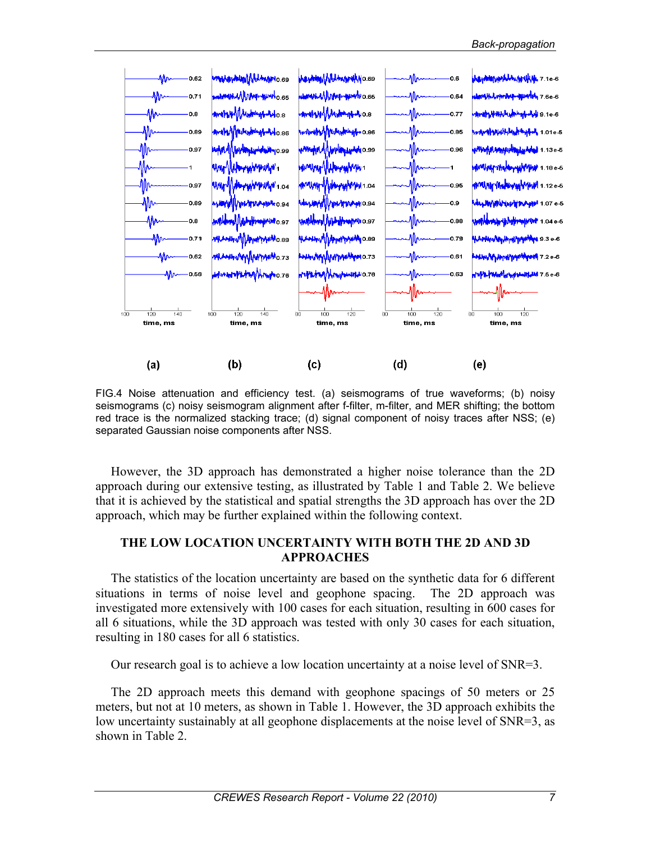

FIG.4 Noise attenuation and efficiency test. (a) seismograms of true waveforms; (b) noisy seismograms (c) noisy seismogram alignment after f-filter, m-filter, and MER shifting; the bottom red trace is the normalized stacking trace; (d) signal component of noisy traces after NSS; (e) separated Gaussian noise components after NSS.

However, the 3D approach has demonstrated a higher noise tolerance than the 2D approach during our extensive testing, as illustrated by Table 1 and Table 2. We believe that it is achieved by the statistical and spatial strengths the 3D approach has over the 2D approach, which may be further explained within the following context.

## **THE LOW LOCATION UNCERTAINTY WITH BOTH THE 2D AND 3D APPROACHES**

The statistics of the location uncertainty are based on the synthetic data for 6 different situations in terms of noise level and geophone spacing. The 2D approach was investigated more extensively with 100 cases for each situation, resulting in 600 cases for all 6 situations, while the 3D approach was tested with only 30 cases for each situation, resulting in 180 cases for all 6 statistics.

Our research goal is to achieve a low location uncertainty at a noise level of SNR=3.

The 2D approach meets this demand with geophone spacings of 50 meters or 25 meters, but not at 10 meters, as shown in Table 1. However, the 3D approach exhibits the low uncertainty sustainably at all geophone displacements at the noise level of SNR=3, as shown in Table 2.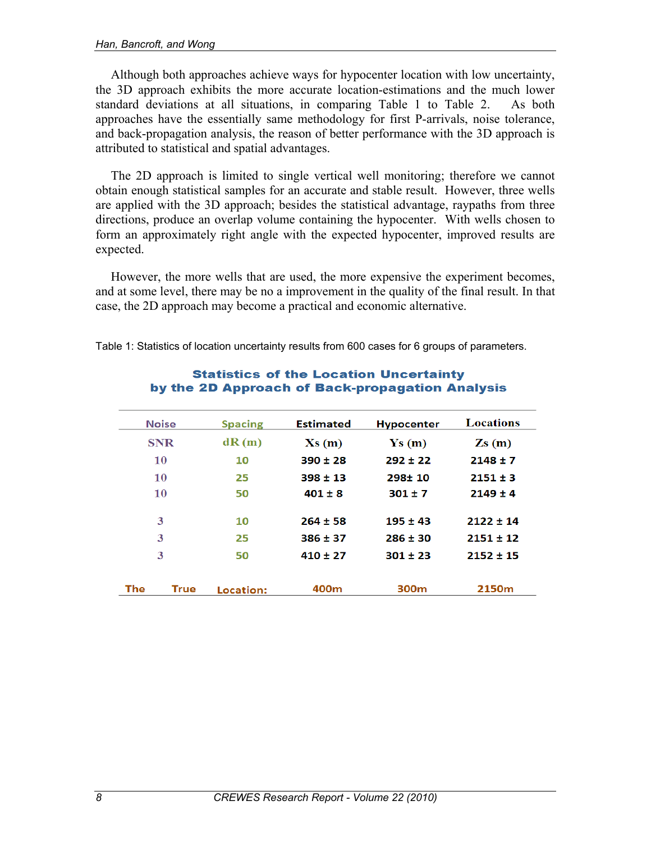Although both approaches achieve ways for hypocenter location with low uncertainty, the 3D approach exhibits the more accurate location-estimations and the much lower standard deviations at all situations, in comparing Table 1 to Table 2. As both approaches have the essentially same methodology for first P-arrivals, noise tolerance, and back-propagation analysis, the reason of better performance with the 3D approach is attributed to statistical and spatial advantages.

The 2D approach is limited to single vertical well monitoring; therefore we cannot obtain enough statistical samples for an accurate and stable result. However, three wells are applied with the 3D approach; besides the statistical advantage, raypaths from three directions, produce an overlap volume containing the hypocenter. With wells chosen to form an approximately right angle with the expected hypocenter, improved results are expected.

However, the more wells that are used, the more expensive the experiment becomes, and at some level, there may be no a improvement in the quality of the final result. In that case, the 2D approach may become a practical and economic alternative.

> **Statistics of the Location Uncertainty** by the 2D Approach of Back-propagation Analysis

|     | <b>Noise</b> | <b>Spacing</b> | <b>Estimated</b> | <b>Hypocenter</b>         | <b>Locations</b>           |
|-----|--------------|----------------|------------------|---------------------------|----------------------------|
|     | <b>SNR</b>   | dR(m)          | Xs(m)            | $\mathbf{Ys}(\mathbf{m})$ | $\mathbf{Z}\mathbf{s}$ (m) |
|     | 10           | 10             | $390 \pm 28$     | $292 \pm 22$              | $2148 \pm 7$               |
|     | 10           | 25             | $398 \pm 13$     | $298 + 10$                | $2151 \pm 3$               |
|     | 10           | 50             | $401 \pm 8$      | $301 \pm 7$               | $2149 \pm 4$               |
|     | 3            | 10             | $264 \pm 58$     | $195 \pm 43$              | $2122 \pm 14$              |
|     | 3            | 25             | $386 \pm 37$     | $286 \pm 30$              | $2151 \pm 12$              |
|     | 3            | 50             | $410 \pm 27$     | $301 \pm 23$              | $2152 \pm 15$              |
| The | True         | Location:      | 400m             | 300 <sub>m</sub>          | 2150 <sub>m</sub>          |

Table 1: Statistics of location uncertainty results from 600 cases for 6 groups of parameters.